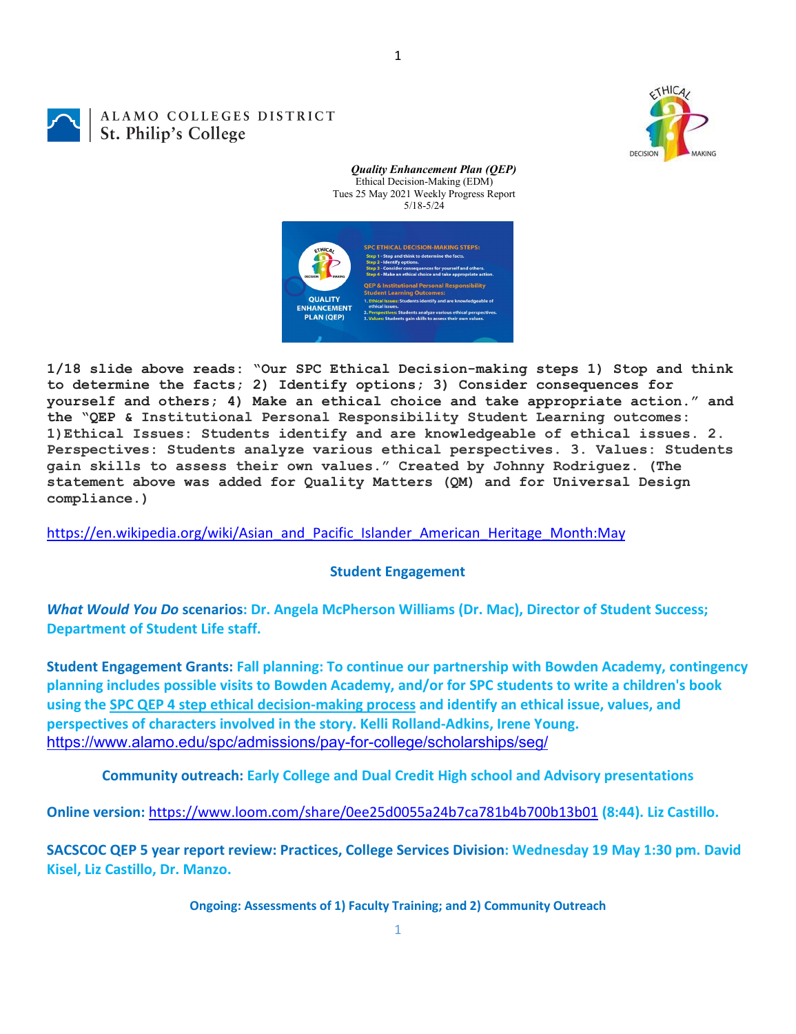DECISION

1

## ALAMO COLLEGES DISTRICT St. Philip's College



*Quality Enhancement Plan (QEP)*

**1/18 slide above reads: "Our SPC Ethical Decision-making steps 1) Stop and think to determine the facts; 2) Identify options; 3) Consider consequences for yourself and others; 4) Make an ethical choice and take appropriate action." and the "QEP & Institutional Personal Responsibility Student Learning outcomes: 1)Ethical Issues: Students identify and are knowledgeable of ethical issues. 2. Perspectives: Students analyze various ethical perspectives. 3. Values: Students gain skills to assess their own values." Created by Johnny Rodriguez. (The statement above was added for Quality Matters (QM) and for Universal Design compliance.)**

[https://en.wikipedia.org/wiki/Asian\\_and\\_Pacific\\_Islander\\_American\\_Heritage\\_Month:May](https://en.wikipedia.org/wiki/Asian_and_Pacific_Islander_American_Heritage_Month:May)

## **Student Engagement**

*What Would You Do* **scenarios: Dr. Angela McPherson Williams (Dr. Mac), Director of Student Success; Department of Student Life staff.**

**Student Engagement Grants: Fall planning: To continue our partnership with Bowden Academy, contingency planning includes possible visits to Bowden Academy, and/or for SPC students to write a children's book using the SPC [QEP 4 step ethical decision-making process](https://mail.alamo.edu/owa/redir.aspx?REF=QPGGgOE-3HbbrbCAzqBFQWbtY3e2Gc0f0qSFld99-4hqZWSPr8DYCAFodHRwczovL3d3dy5hbGFtby5lZHUvbGluay8zYjg5NjQxMTY3MGY0YTZlYjU2MzNkNGFmNjE1OTBjNC5hc3B4) and identify an ethical issue, values, and perspectives of characters involved in the story. Kelli Rolland-Adkins, Irene Young.** <https://www.alamo.edu/spc/admissions/pay-for-college/scholarships/seg/>

**Community outreach: Early College and Dual Credit High school and Advisory presentations**

**Online version:** <https://www.loom.com/share/0ee25d0055a24b7ca781b4b700b13b01> **(8:44). Liz Castillo.**

**SACSCOC QEP 5 year report review: Practices, College Services Division: Wednesday 19 May 1:30 pm. David Kisel, Liz Castillo, Dr. Manzo.**

**Ongoing: Assessments of 1) Faculty Training; and 2) Community Outreach**